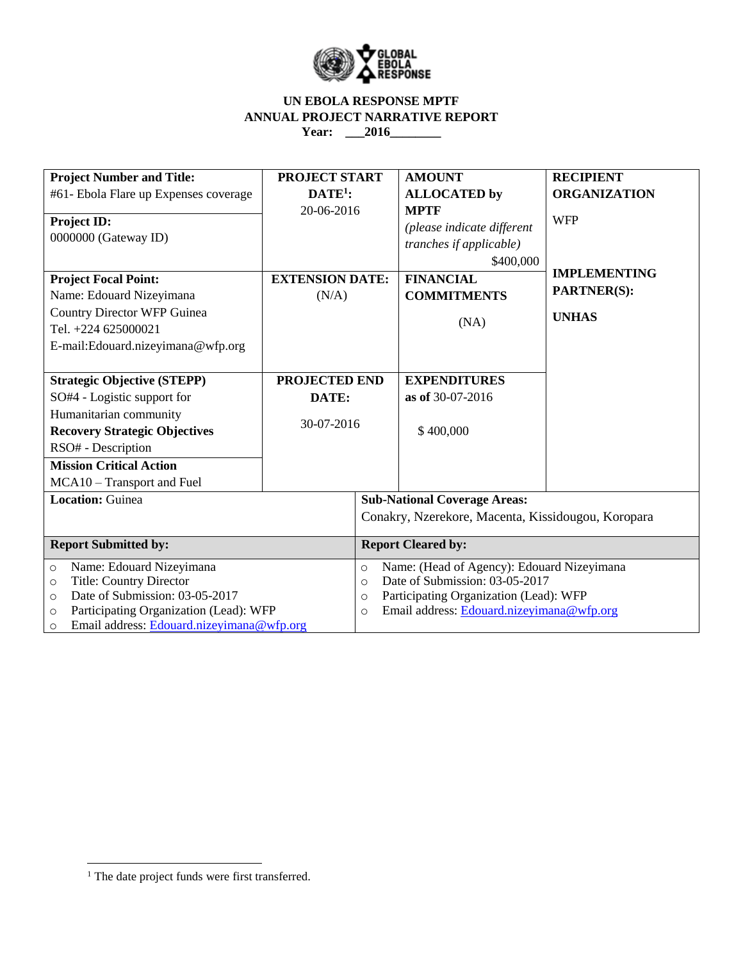

# **UN EBOLA RESPONSE MPTF ANNUAL PROJECT NARRATIVE REPORT**  Year: \_\_\_2016\_\_\_\_\_\_\_\_\_

| <b>Project Number and Title:</b><br>#61- Ebola Flare up Expenses coverage | <b>PROJECT START</b><br>$DATE1$ : |                                                       | <b>AMOUNT</b><br><b>ALLOCATED</b> by                  | <b>RECIPIENT</b><br><b>ORGANIZATION</b> |  |  |
|---------------------------------------------------------------------------|-----------------------------------|-------------------------------------------------------|-------------------------------------------------------|-----------------------------------------|--|--|
| <b>Project ID:</b>                                                        | 20-06-2016                        |                                                       | <b>MPTF</b>                                           | <b>WFP</b>                              |  |  |
| 0000000 (Gateway ID)                                                      |                                   |                                                       | (please indicate different<br>tranches if applicable) |                                         |  |  |
|                                                                           |                                   |                                                       | \$400,000                                             |                                         |  |  |
| <b>Project Focal Point:</b>                                               | <b>EXTENSION DATE:</b>            |                                                       | <b>FINANCIAL</b>                                      | <b>IMPLEMENTING</b>                     |  |  |
| Name: Edouard Nizeyimana                                                  | (N/A)                             |                                                       | <b>COMMITMENTS</b>                                    | <b>PARTNER(S):</b>                      |  |  |
| <b>Country Director WFP Guinea</b>                                        |                                   |                                                       | (NA)                                                  | <b>UNHAS</b>                            |  |  |
| Tel. +224 625000021                                                       |                                   |                                                       |                                                       |                                         |  |  |
| E-mail:Edouard.nizeyimana@wfp.org                                         |                                   |                                                       |                                                       |                                         |  |  |
|                                                                           |                                   |                                                       |                                                       |                                         |  |  |
| <b>Strategic Objective (STEPP)</b>                                        | PROJECTED END                     |                                                       | <b>EXPENDITURES</b>                                   |                                         |  |  |
| SO#4 - Logistic support for                                               | DATE:                             |                                                       | as of 30-07-2016                                      |                                         |  |  |
| Humanitarian community                                                    |                                   |                                                       |                                                       |                                         |  |  |
| <b>Recovery Strategic Objectives</b>                                      | 30-07-2016                        |                                                       | \$400,000                                             |                                         |  |  |
| RSO# - Description                                                        |                                   |                                                       |                                                       |                                         |  |  |
| <b>Mission Critical Action</b>                                            |                                   |                                                       |                                                       |                                         |  |  |
| MCA10 - Transport and Fuel                                                |                                   |                                                       |                                                       |                                         |  |  |
| <b>Location: Guinea</b>                                                   |                                   | <b>Sub-National Coverage Areas:</b>                   |                                                       |                                         |  |  |
|                                                                           |                                   | Conakry, Nzerekore, Macenta, Kissidougou, Koropara    |                                                       |                                         |  |  |
| <b>Report Submitted by:</b>                                               |                                   | <b>Report Cleared by:</b>                             |                                                       |                                         |  |  |
| Name: Edouard Nizeyimana<br>$\circ$                                       |                                   | Name: (Head of Agency): Edouard Nizeyimana<br>$\circ$ |                                                       |                                         |  |  |
| <b>Title: Country Director</b><br>$\circ$                                 |                                   | Date of Submission: 03-05-2017<br>$\circ$             |                                                       |                                         |  |  |
| Date of Submission: 03-05-2017<br>$\Omega$                                |                                   |                                                       | Participating Organization (Lead): WFP<br>$\circ$     |                                         |  |  |
| Participating Organization (Lead): WFP<br>$\circ$                         |                                   |                                                       | Email address: Edouard.nizeyimana@wfp.org<br>$\circ$  |                                         |  |  |
| Email address: Edouard.nizeyimana@wfp.org<br>$\circ$                      |                                   |                                                       |                                                       |                                         |  |  |

 $\overline{\phantom{a}}$ 

<sup>&</sup>lt;sup>1</sup> The date project funds were first transferred.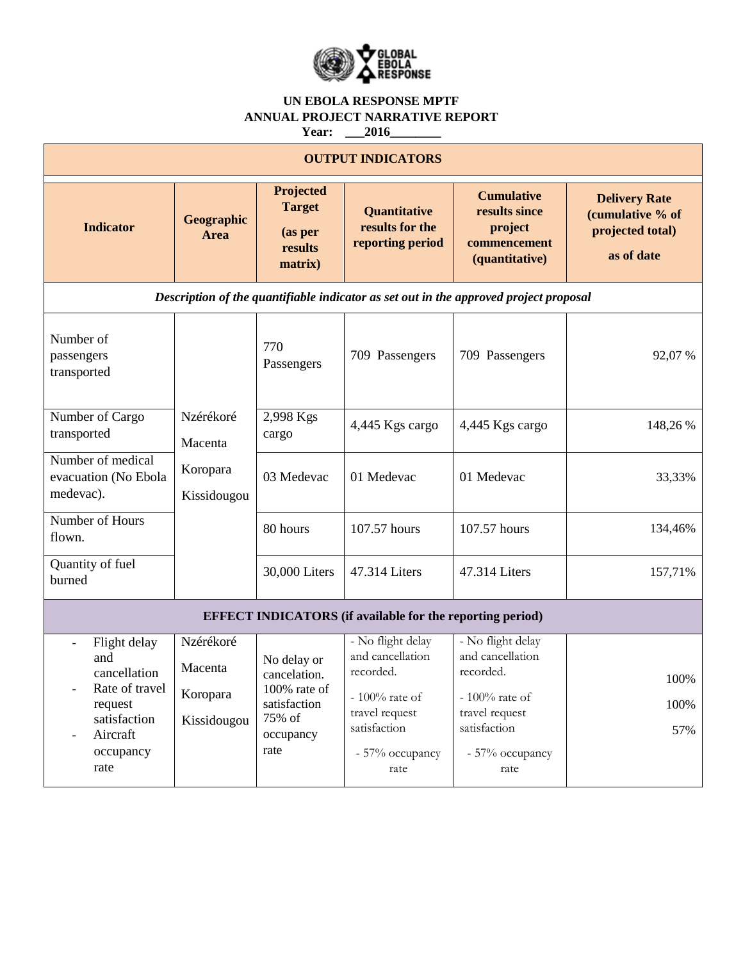

# **UN EBOLA RESPONSE MPTF ANNUAL PROJECT NARRATIVE REPORT**

**Year: \_\_\_2016\_\_\_\_\_\_\_\_**

| <b>OUTPUT INDICATORS</b>                                                                                                            |                                                 |                                                                                            |                                                                                                                                      |                                                                                                                                      |                                                                            |  |  |  |
|-------------------------------------------------------------------------------------------------------------------------------------|-------------------------------------------------|--------------------------------------------------------------------------------------------|--------------------------------------------------------------------------------------------------------------------------------------|--------------------------------------------------------------------------------------------------------------------------------------|----------------------------------------------------------------------------|--|--|--|
| <b>Indicator</b>                                                                                                                    | Geographic<br>Area                              | Projected<br><b>Target</b><br>(as per<br>results<br>matrix)                                | Quantitative<br>results for the<br>reporting period                                                                                  | <b>Cumulative</b><br>results since<br>project<br>commencement<br>(quantitative)                                                      | <b>Delivery Rate</b><br>(cumulative % of<br>projected total)<br>as of date |  |  |  |
| Description of the quantifiable indicator as set out in the approved project proposal                                               |                                                 |                                                                                            |                                                                                                                                      |                                                                                                                                      |                                                                            |  |  |  |
| Number of<br>passengers<br>transported                                                                                              |                                                 | 770<br>Passengers                                                                          | 709 Passengers                                                                                                                       | 709 Passengers                                                                                                                       | 92,07 %                                                                    |  |  |  |
| Number of Cargo<br>transported                                                                                                      | Nzérékoré<br>Macenta<br>Koropara<br>Kissidougou | 2,998 Kgs<br>cargo                                                                         | 4,445 Kgs cargo                                                                                                                      | 4,445 Kgs cargo                                                                                                                      | 148,26 %                                                                   |  |  |  |
| Number of medical<br>evacuation (No Ebola<br>medevac).                                                                              |                                                 | 03 Medevac                                                                                 | 01 Medevac                                                                                                                           | 01 Medevac                                                                                                                           | 33,33%                                                                     |  |  |  |
| Number of Hours<br>flown.                                                                                                           |                                                 | 80 hours                                                                                   | 107.57 hours                                                                                                                         | 107.57 hours                                                                                                                         | 134,46%                                                                    |  |  |  |
| Quantity of fuel<br>burned                                                                                                          |                                                 | 30,000 Liters                                                                              | 47.314 Liters                                                                                                                        | 47.314 Liters                                                                                                                        | 157,71%                                                                    |  |  |  |
| <b>EFFECT INDICATORS</b> (if available for the reporting period)                                                                    |                                                 |                                                                                            |                                                                                                                                      |                                                                                                                                      |                                                                            |  |  |  |
| Flight delay<br>$\overline{a}$<br>and<br>cancellation<br>Rate of travel<br>request<br>satisfaction<br>Aircraft<br>occupancy<br>rate | Nzérékoré<br>Macenta<br>Koropara<br>Kissidougou | No delay or<br>cancelation.<br>100% rate of<br>satisfaction<br>75% of<br>occupancy<br>rate | - No flight delay<br>and cancellation<br>recorded.<br>- $100\%$ rate of<br>travel request<br>satisfaction<br>- 57% occupancy<br>rate | - No flight delay<br>and cancellation<br>recorded.<br>- $100\%$ rate of<br>travel request<br>satisfaction<br>- 57% occupancy<br>rate | 100%<br>100%<br>57%                                                        |  |  |  |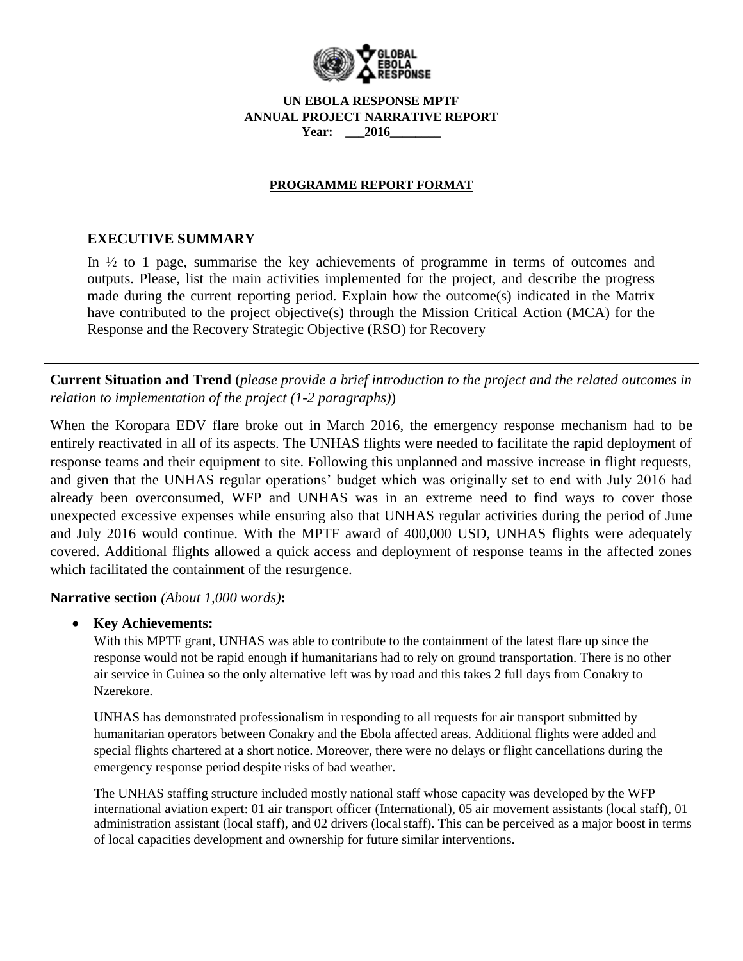

#### **UN EBOLA RESPONSE MPTF ANNUAL PROJECT NARRATIVE REPORT Year: \_\_\_2016\_\_\_\_\_\_\_\_**

# **PROGRAMME REPORT FORMAT**

# **EXECUTIVE SUMMARY**

In  $\frac{1}{2}$  to 1 page, summarise the key achievements of programme in terms of outcomes and outputs. Please, list the main activities implemented for the project, and describe the progress made during the current reporting period. Explain how the outcome(s) indicated in the Matrix have contributed to the project objective(s) through the Mission Critical Action (MCA) for the Response and the Recovery Strategic Objective (RSO) for Recovery

**Current Situation and Trend** (*please provide a brief introduction to the project and the related outcomes in relation to implementation of the project (1-2 paragraphs)*)

When the Koropara EDV flare broke out in March 2016, the emergency response mechanism had to be entirely reactivated in all of its aspects. The UNHAS flights were needed to facilitate the rapid deployment of response teams and their equipment to site. Following this unplanned and massive increase in flight requests, and given that the UNHAS regular operations' budget which was originally set to end with July 2016 had already been overconsumed, WFP and UNHAS was in an extreme need to find ways to cover those unexpected excessive expenses while ensuring also that UNHAS regular activities during the period of June and July 2016 would continue. With the MPTF award of 400,000 USD, UNHAS flights were adequately covered. Additional flights allowed a quick access and deployment of response teams in the affected zones which facilitated the containment of the resurgence.

### **Narrative section** *(About 1,000 words)***:**

### **Key Achievements:**

With this MPTF grant, UNHAS was able to contribute to the containment of the latest flare up since the response would not be rapid enough if humanitarians had to rely on ground transportation. There is no other air service in Guinea so the only alternative left was by road and this takes 2 full days from Conakry to Nzerekore.

UNHAS has demonstrated professionalism in responding to all requests for air transport submitted by humanitarian operators between Conakry and the Ebola affected areas. Additional flights were added and special flights chartered at a short notice. Moreover, there were no delays or flight cancellations during the emergency response period despite risks of bad weather.

The UNHAS staffing structure included mostly national staff whose capacity was developed by the WFP international aviation expert: 01 air transport officer (International), 05 air movement assistants (local staff), 01 administration assistant (local staff), and 02 drivers (localstaff). This can be perceived as a major boost in terms of local capacities development and ownership for future similar interventions.